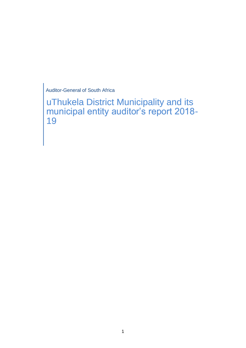Auditor-General of South Africa

uThukela District Municipality and its municipal entity auditor's report 2018- 19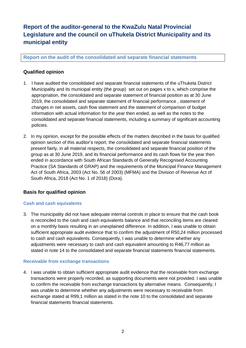# **Report of the auditor-general to the KwaZulu Natal Provincial Legislature and the council on uThukela District Municipality and its municipal entity**

**Report on the audit of the consolidated and separate financial statements**

## **Qualified opinion**

- 1. I have audited the consolidated and separate financial statements of the uThukela District Municipality and its municipal entity (the group) set out on pages x to x, which comprise the appropriation, the consolidated and separate statement of financial position as at 30 June 2019, the consolidated and separate statement of financial performance , statement of changes in net assets, cash flow statement and the statement of comparison of budget information with actual information for the year then ended, as well as the notes to the consolidated and separate financial statements, including a summary of significant accounting policies.
- 2. In my opinion, except for the possible effects of the matters described in the basis for qualified opinion section of this auditor's report, the consolidated and separate financial statements present fairly, in all material respects, the consolidated and separate financial position of the group as at 30 June 2019, and its financial performance and its cash flows for the year then ended in accordance with South African Standards of Generally Recognised Accounting Practice (SA Standards of GRAP) and the requirements of the Municipal Finance Management Act of South Africa, 2003 (Act No. 56 of 2003) (MFMA) and the Division of Revenue Act of South Africa, 2018 (Act No. 1 of 2018) (Dora).

## **Basis for qualified opinion**

## **Cash and cash equivalents**

3. The municipality did not have adequate internal controls in place to ensure that the cash book is reconciled to the cash and cash equivalents balance and that reconciling items are cleared on a monthly basis resulting in an unexplained difference. In addition, I was unable to obtain sufficient appropriate audit evidence that to confirm the adjustment of R50,24 million processed to cash and cash equivalents. Consequently, I was unable to determine whether any adjustments were necessary to cash and cash equivalent amounting to R46,77 million as stated in note 14 to the consolidated and separate financial statements financial statements.

## **Receivable from exchange transactions**

4. I was unable to obtain sufficient appropriate audit evidence that the receivable from exchange transactions were properly recorded, as supporting documents were not provided. I was unable to confirm the receivable from exchange transactions by alternative means. Consequently, I was unable to determine whether any adjustments were necessary to receivable from exchange stated at R99,1 million as stated in the note 10 to the consolidated and separate financial statements financial statements.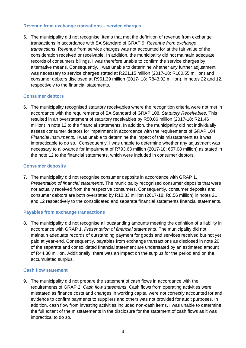#### **Revenue from exchange transations – service charges**

5. The municipality did not recognise items that met the definition of revenue from exchange transactions in accordance with SA Standard of GRAP 9, *Revenue from exchange transactions*. Revenue from service charges was not accounted for at the fair value of the consideration received or receivable. In addition, the municipality did not maintain adequate records of consumers billings. I was therefore unable to confirm the service charges by alternative means. Consequently, I was unable to determine whether any further adjustment was necessary to service charges stated at R221,15 million (2017-18: R180,55 million) and consumer debtors disclosed at R961,39 million (2017- 18: R843,02 million), in notes 22 and 12, respectively to the financial statements.

#### **Consumer debtors**

6. The municipality recognised statutory receivables where the recognition criteria were not met in accordance with the requirements of SA Standard of GRAP 108, *Statutory Receivables*. This resulted in an overstatement of statutory receivables by R50,06 million (2017-18: R21,46 million) in note 12 to the financial statements. In addition, the municipality did not individually assess consumer debtors for impairment in accordance with the requirements of GRAP 104, *Financial Instruments*. I was unable to determine the impact of this misstatement as it was impracticable to do so. Consequently, I was unable to determine whether any adjustment was necessary to allowance for impairment of R793,63 million (2017-18: 657,08 million) as stated in the note 12 to the financial statements, which were included in consumer debtors.

#### **Consumer deposits**

7. The municipality did not recognise consumer deposits in accordance with GRAP 1, *Presentation of financial statements*. The municipality recognised consumer deposits that were not actually received from the respective consumers. Consequently, consumer deposits and consumer debtors are both overstated by R10,33 million (2017-18: R8,56 million) in notes 21 and 12 respectively to the consolidated and separate financial statements financial statements.

#### **Payables from exchange transactions**

8. The municipality did not recognise all outstanding amounts meeting the definition of a liability in accordance with GRAP 1, *Presentation of financial statements*. The municipality did not maintain adequate records of outstanding payment for goods and services received but not yet paid at year-end. Consequently, payables from exchange transactions as disclosed in note 20 of the separate and consolidated financial statement are understated by an estimated amount of R44,30 million. Additionally, there was an impact on the surplus for the period and on the accumulated surplus.

#### **Cash flow statement**

9. The municipality did not prepare the statement of cash flows in accordance with the requirements of GRAP 2, *Cash flow statements*. Cash flows from operating activities were misstated as finance costs and changes in working capital were not correctly accounted for and evidence to confirm payments to suppliers and others was not provided for audit purposes. In addition, cash flow from investing activities included non-cash items. I was unable to determine the full extent of the misstatements in the disclosure for the statement of cash flows as it was impractical to do so.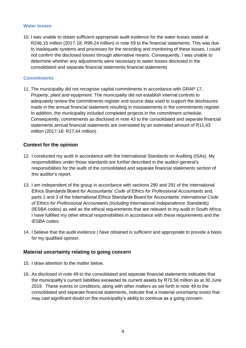#### **Water losses**

10. I was unable to obtain sufficient appropriate audit evidence for the water losses stated at R246,15 million (2017-18: R99,24 million) in note 59 to the financial statements. This was due to inadequate systems and processes for the recording and monitoring of these losses. I could not confirm the disclosed losses through alternative means. Consequently, I was unable to determine whether any adjustments were necessary to water losses disclosed in the consolidated and separate financial statements financial statements

#### **Commitments**

11. The municipality did not recognise capital commitments in accordance with GRAP 17, *Property, plant and equipment.* The municipality did not establish internal controls to adequately review the commitments register and source data used to support the disclosures made in the annual financial statement resulting in misstatements in the commitments register. In addition, the municipality included completed projects in the commitment schedule. Consequently, commitments as disclosed in note 43 to the consolidated and separate financial statements annual financial statements are overstated by an estimated amount of R11,43 million (2017-18: R17,44 million).

## **Context for the opinion**

- 12. I conducted my audit in accordance with the International Standards on Auditing (ISAs). My responsibilities under those standards are further described in the auditor-general's responsibilities for the audit of the consolidated and separate financial statements section of this auditor's report.
- 13. I am independent of the group in accordance with sections 290 and 291 of the International Ethics Standards Board for Accountants' *Code of Ethics for Professional Accountants* and, parts 1 and 3 of the International Ethics Standards Board for Accountants' *International Code of Ethics for Professional Accountants (including International Independence Standards)* (IESBA codes) as well as the ethical requirements that are relevant to my audit in South Africa. I have fulfilled my other ethical responsibilities in accordance with these requirements and the IESBA codes.
- 14. I believe that the audit evidence I have obtained is sufficient and appropriate to provide a basis for my qualified opinion.

## **Material uncertainty relating to going concern**

- 15. I draw attention to the matter below.
- 16. As disclosed in note 49 to the consolidated and separate financial statements indicates that the municipality's current liabilities exceeded its current assets by R70,56 million as at 30 June 2019. These events or conditions, along with other matters as set forth in note 49 to the consolidated and separate financial statements, indicate that a material uncertainty exists that may cast significant doubt on the municipality's ability to continue as a going concern.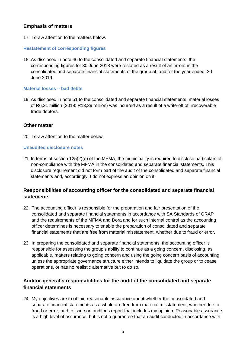## **Emphasis of matters**

17. I draw attention to the matters below.

## **Restatement of corresponding figures**

18. As disclosed in note 46 to the consolidated and separate financial statements, the corresponding figures for 30 June 2018 were restated as a result of an errors in the consolidated and separate financial statements of the group at, and for the year ended, 30 June 2019.

## **Material losses – bad debts**

19. As disclosed in note 51 to the consolidated and separate financial statements, material losses of R6,31 million (2018: R13,39 million) was incurred as a result of a write-off of irrecoverable trade debtors.

## **Other matter**

20. I draw attention to the matter below.

## **Unaudited disclosure notes**

21. In terms of section 125(2)(e) of the MFMA, the municipality is required to disclose particulars of non-compliance with the MFMA in the consolidated and separate financial statements. This disclosure requirement did not form part of the audit of the consolidated and separate financial statements and, accordingly, I do not express an opinion on it.

## **Responsibilities of accounting officer for the consolidated and separate financial statements**

- 22. The accounting officer is responsible for the preparation and fair presentation of the consolidated and separate financial statements in accordance with SA Standards of GRAP and the requirements of the MFMA and Dora and for such internal control as the accounting officer determines is necessary to enable the preparation of consolidated and separate financial statements that are free from material misstatement, whether due to fraud or error.
- 23. In preparing the consolidated and separate financial statements, the accounting officer is responsible for assessing the group's ability to continue as a going concern, disclosing, as applicable, matters relating to going concern and using the going concern basis of accounting unless the appropriate governance structure either intends to liquidate the group or to cease operations, or has no realistic alternative but to do so.

## **Auditor-general's responsibilities for the audit of the consolidated and separate financial statements**

24. My objectives are to obtain reasonable assurance about whether the consolidated and separate financial statements as a whole are free from material misstatement, whether due to fraud or error, and to issue an auditor's report that includes my opinion. Reasonable assurance is a high level of assurance, but is not a guarantee that an audit conducted in accordance with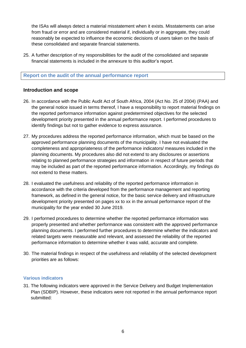the ISAs will always detect a material misstatement when it exists. Misstatements can arise from fraud or error and are considered material if, individually or in aggregate, they could reasonably be expected to influence the economic decisions of users taken on the basis of these consolidated and separate financial statements.

25. A further description of my responsibilities for the audit of the consolidated and separate financial statements is included in the annexure to this auditor's report.

## **Report on the audit of the annual performance report**

## **Introduction and scope**

- 26. In accordance with the Public Audit Act of South Africa, 2004 (Act No. 25 of 2004) (PAA) and the general notice issued in terms thereof, I have a responsibility to report material findings on the reported performance information against predetermined objectives for the selected development priority presented in the annual performance report. I performed procedures to identify findings but not to gather evidence to express assurance.
- 27. My procedures address the reported performance information, which must be based on the approved performance planning documents of the municipality. I have not evaluated the completeness and appropriateness of the performance indicators/ measures included in the planning documents. My procedures also did not extend to any disclosures or assertions relating to planned performance strategies and information in respect of future periods that may be included as part of the reported performance information. Accordingly, my findings do not extend to these matters.
- 28. I evaluated the usefulness and reliability of the reported performance information in accordance with the criteria developed from the performance management and reporting framework, as defined in the general notice, for the basic service delivery and infrastructure development priority presented on pages xx to xx in the annual performance report of the municipality for the year ended 30 June 2019.
- 29. I performed procedures to determine whether the reported performance information was properly presented and whether performance was consistent with the approved performance planning documents. I performed further procedures to determine whether the indicators and related targets were measurable and relevant, and assessed the reliability of the reported performance information to determine whether it was valid, accurate and complete.
- 30. The material findings in respect of the usefulness and reliability of the selected development priorities are as follows:

#### **Various indicators**

31. The following indicators were approved in the Service Delivery and Budget Implementation Plan (SDBIP). However, these indicators were not reported in the annual performance report submitted: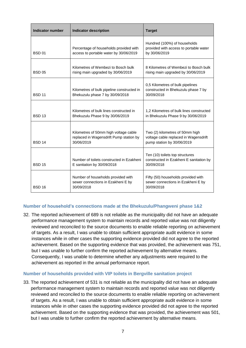| <b>Indicator number</b> | <b>Indicator description</b>                                                                   | <b>Target</b>                                                                                          |
|-------------------------|------------------------------------------------------------------------------------------------|--------------------------------------------------------------------------------------------------------|
| <b>BSD 01</b>           | Percentage of households provided with<br>access to portable water by 30/06/2019               | Hundred (100%) of households<br>provided with access to portable water<br>by 30/06/2019                |
| <b>BSD 05</b>           | Kilometres of Wembezi to Bosch bulk<br>rising main upgraded by 30/06/2019                      | 8 Kilometres of Wembezi to Bosch bulk<br>rising main upgraded by 30/06/2019                            |
| <b>BSD 11</b>           | Kilometres of bulk pipeline constructed in<br>Bhekuzulu phase 7 by 30/09/2018                  | 0,5 Kilometres of bulk pipelines<br>constructed in Bhekuzulu phase 7 by<br>30/09/2018                  |
| <b>BSD 13</b>           | Kilometres of bulk lines constructed in<br>Bhekuzulu Phase 9 by 30/06/2019                     | 1,2 Kilometres of bulk lines constructed<br>in Bhekuzulu Phase 9 by 30/06/2019                         |
| <b>BSD 14</b>           | Kilometres of 50mm high voltage cable<br>replaced in Wagensdrift Pump station by<br>30/06/2019 | Two (2) kilometres of 50mm high<br>voltage cable replaced in Wagensdrift<br>pump station by 30/06/2019 |
| <b>BSD 15</b>           | Number of toilets constructed in Ezakheni<br>E sanitation by 30/09/2018                        | Ten (10) toilets top structures<br>constructed in Ezakheni E sanitation by<br>30/09/2018               |
| <b>BSD 16</b>           | Number of households provided with<br>sewer connections in Ezakheni E by<br>30/09/2018         | Fifty (50) households provided with<br>sewer connections in Ezakheni E by<br>30/09/2018                |

## **Number of household's connections made at the Bhekuzulu/Phangweni phase 1&2**

32. The reported achievement of 689 is not reliable as the municipality did not have an adequate performance management system to maintain records and reported value was not diligently reviewed and reconciled to the source documents to enable reliable reporting on achievement of targets. As a result, I was unable to obtain sufficient appropriate audit evidence in some instances while in other cases the supporting evidence provided did not agree to the reported achievement. Based on the supporting evidence that was provided, the achievement was 751, but I was unable to further confirm the reported achievement by alternative means. Consequently, I was unable to determine whether any adjustments were required to the achievement as reported in the annual performance report.

#### **Number of households provided with VIP toilets in Bergville sanitation project**

33. The reported achievement of 531 is not reliable as the municipality did not have an adequate performance management system to maintain records and reported value was not diligently reviewed and reconciled to the source documents to enable reliable reporting on achievement of targets. As a result, I was unable to obtain sufficient appropriate audit evidence in some instances while in other cases the supporting evidence provided did not agree to the reported achievement. Based on the supporting evidence that was provided, the achievement was 501, but I was unable to further confirm the reported achievement by alternative means.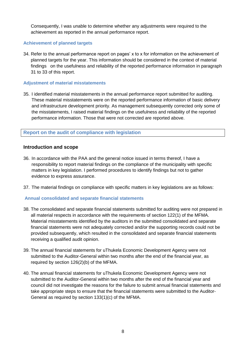Consequently, I was unable to determine whether any adjustments were required to the achievement as reported in the annual performance report.

## **Achievement of planned targets**

34. Refer to the annual performance report on pages' x to x for information on the achievement of planned targets for the year. This information should be considered in the context of material findings on the usefulness and reliability of the reported performance information in paragraph 31 to 33 of this report.

## **Adjustment of material misstatements**

35. I identified material misstatements in the annual performance report submitted for auditing. These material misstatements were on the reported performance information of basic delivery and infrastructure development priority. As management subsequently corrected only some of the misstatements, I raised material findings on the usefulness and reliability of the reported performance information. Those that were not corrected are reported above.

## **Report on the audit of compliance with legislation**

## **Introduction and scope**

- 36. In accordance with the PAA and the general notice issued in terms thereof, I have a responsibility to report material findings on the compliance of the municipality with specific matters in key legislation. I performed procedures to identify findings but not to gather evidence to express assurance.
- 37. The material findings on compliance with specific matters in key legislations are as follows:

#### **Annual consolidated and separate financial statements**

- 38. The consolidated and separate financial statements submitted for auditing were not prepared in all material respects in accordance with the requirements of section 122(1) of the MFMA. Material misstatements identified by the auditors in the submitted consolidated and separate financial statements were not adequately corrected and/or the supporting records could not be provided subsequently, which resulted in the consolidated and separate financial statements receiving a qualified audit opinion.
- 39. The annual financial statements for uThukela Economic Development Agency were not submitted to the Auditor-General within two months after the end of the financial year, as required by section 126(2)(b) of the MFMA.
- 40. The annual financial statements for uThukela Economic Development Agency were not submitted to the Auditor-General within two months after the end of the financial year and council did not investigate the reasons for the failure to submit annual financial statements and take appropriate steps to ensure that the financial statements were submitted to the Auditor-General as required by section 133(1)(c) of the MFMA.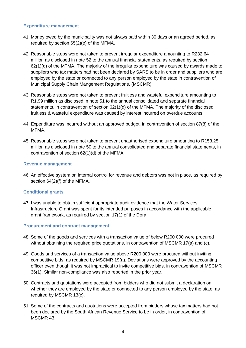#### **Expenditure management**

- 41. Money owed by the municipality was not always paid within 30 days or an agreed period, as required by section 65(2)(e) of the MFMA.
- 42. Reasonable steps were not taken to prevent irregular expenditure amounting to R232,64 million as disclosed in note 52 to the annual financial statements, as required by section 62(1)(d) of the MFMA. The majority of the irregular expenditure was caused by awards made to suppliers who tax matters had not been declared by SARS to be in order and suppliers who are employed by the state or connected to any person employed by the state in contravention of Municipal Supply Chain Mangement Regulations. (MSCMR).
- 43. Reasonable steps were not taken to prevent fruitless and wasteful expenditure amounting to R1,99 million as disclosed in note 51 to the annual consolidated and separate financial statements, in contravention of section 62(1)(d) of the MFMA. The majority of the disclosed fruitless & wasteful expenditure was caused by interest incurred on overdue accounts.
- 44. Expenditure was incurred without an approved budget, in contravention of section 87(8) of the MFMA.
- 45. Reasonable steps were not taken to prevent unauthorised expenditure amounting to R153,25 million as disclosed in note 50 to the annual consolidated and separate financial statements, in contravention of section 62(1)(d) of the MFMA.

## **Revenue management**

46. An effective system on internal control for revenue and debtors was not in place, as required by section 64(2)(f) of the MFMA.

## **Conditional grants**

47. I was unable to obtain sufficient appropriate audit evidence that the Water Services Infrastructure Grant was spent for its intended purposes in accordance with the applicable grant framework, as required by section 17(1) of the Dora.

#### **Procurement and contract management**

- 48. Some of the goods and services with a transaction value of below R200 000 were procured without obtaining the required price quotations, in contravention of MSCMR 17(a) and (c).
- 49. Goods and services of a transaction value above R200 000 were procured without inviting competitive bids, as required by MSCMR 19(a). Deviations were approved by the accounting officer even though it was not impractical to invite competitive bids, in contravention of MSCMR 36(1). Similar non-compliance was also reported in the prior year.
- 50. Contracts and quotations were accepted from bidders who did not submit a declaration on whether they are employed by the state or connected to any person employed by the state, as required by MSCMR 13(c).
- 51. Some of the contracts and quotations were accepted from bidders whose tax matters had not been declared by the South African Revenue Service to be in order, in contravention of MSCMR 43.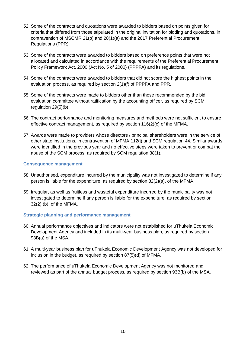- 52. Some of the contracts and quotations were awarded to bidders based on points given for criteria that differed from those stipulated in the original invitation for bidding and quotations, in contravention of MSCMR 21(b) and 28(1)(a) and the 2017 Preferential Procurement Regulations (PPR).
- 53. Some of the contracts were awarded to bidders based on preference points that were not allocated and calculated in accordance with the requirements of the Preferential Procurement Policy Framework Act, 2000 (Act No. 5 of 2000) (PPPFA) and its regulations.
- 54. Some of the contracts were awarded to bidders that did not score the highest points in the evaluation process, as required by section 2(1)(f) of PPPFA and PPR.
- 55. Some of the contracts were made to bidders other than those recommended by the bid evaluation committee without ratification by the accounting officer, as required by SCM regulation 29(5)(b).
- 56. The contract performance and monitoring measures and methods were not sufficient to ensure effective contract management, as required by section 116(2)(c) of the MFMA.
- 57. Awards were made to providers whose directors / principal shareholders were in the service of other state institutions, in contravention of MFMA 112(j) and SCM regulation 44. Similar awards were identified in the previous year and no effective steps were taken to prevent or combat the abuse of the SCM process, as required by SCM regulation 38(1).

#### **Consequence management**

- 58. Unauthorised, expenditure incurred by the municipality was not investigated to determine if any person is liable for the expenditure, as required by section 32(2)(a), of the MFMA.
- 59. Irregular, as well as fruitless and wasteful expenditure incurred by the municipality was not investigated to determine if any person is liable for the expenditure, as required by section 32(2) (b), of the MFMA.

#### **Strategic planning and performance management**

- 60. Annual performance objectives and indicators were not established for uThukela Economic Development Agency and included in its multi-year business plan, as required by section 93B(a) of the MSA.
- 61. A multi-year business plan for uThukela Economic Development Agency was not developed for inclusion in the budget, as required by section 87(5)(d) of MFMA.
- 62. The performance of uThukela Economic Development Agency was not monitored and reviewed as part of the annual budget process, as required by section 93B(b) of the MSA.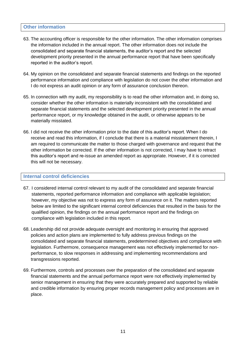## **Other information**

- 63. The accounting officer is responsible for the other information. The other information comprises the information included in the annual report. The other information does not include the consolidated and separate financial statements, the auditor's report and the selected development priority presented in the annual performance report that have been specifically reported in the auditor's report.
- 64. My opinion on the consolidated and separate financial statements and findings on the reported performance information and compliance with legislation do not cover the other information and I do not express an audit opinion or any form of assurance conclusion thereon.
- 65. In connection with my audit, my responsibility is to read the other information and, in doing so, consider whether the other information is materially inconsistent with the consolidated and separate financial statements and the selected development priority presented in the annual performance report, or my knowledge obtained in the audit, or otherwise appears to be materially misstated.
- 66. I did not receive the other information prior to the date of this auditor's report. When I do receive and read this information, if I conclude that there is a material misstatement therein, I am required to communicate the matter to those charged with governance and request that the other information be corrected. If the other information is not corrected, I may have to retract this auditor's report and re-issue an amended report as appropriate. However, if it is corrected this will not be necessary.

#### **Internal control deficiencies**

- 67. I considered internal control relevant to my audit of the consolidated and separate financial statements, reported performance information and compliance with applicable legislation; however, my objective was not to express any form of assurance on it. The matters reported below are limited to the significant internal control deficiencies that resulted in the basis for the qualified opinion, the findings on the annual performance report and the findings on compliance with legislation included in this report.
- 68. Leadership did not provide adequate oversight and monitoring in ensuring that approved policies and action plans are implemented to fully address previous findings on the consolidated and separate financial statements, predetermined objectives and compliance with legislation. Furthermore, consequence management was not effectively implemented for nonperformance, to slow responses in addressing and implementing recommendations and transgressions reported.
- 69. Furthermore, controls and processes over the preparation of the consolidated and separate financial statements and the annual performance report were not effectively implemented by senior management in ensuring that they were accurately prepared and supported by reliable and credible information by ensuring proper records management policy and processes are in place.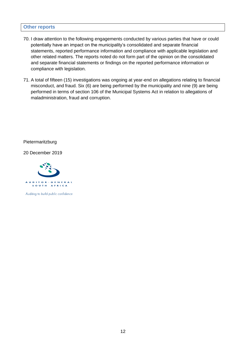#### **Other reports**

- 70. I draw attention to the following engagements conducted by various parties that have or could potentially have an impact on the municipality's consolidated and separate financial statements, reported performance information and compliance with applicable legislation and other related matters. The reports noted do not form part of the opinion on the consolidated and separate financial statements or findings on the reported performance information or compliance with legislation.
- 71. A total of fifteen (15) investigations was ongoing at year-end on allegations relating to financial misconduct, and fraud. Six (6) are being performed by the municipality and nine (9) are being performed in terms of section 106 of the Municipal Systems Act in relation to allegations of maladministration, fraud and corruption.

Pietermaritzburg

20 December 2019



Auditing to build public confidence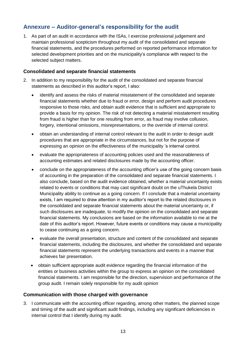# **Annexure – Auditor-general's responsibility for the audit**

1. As part of an audit in accordance with the ISAs, I exercise professional judgement and maintain professional scepticism throughout my audit of the consolidated and separate financial statements, and the procedures performed on reported performance information for selected development priorities and on the municipality's compliance with respect to the selected subject matters.

## **Consolidated and separate financial statements**

- 2. In addition to my responsibility for the audit of the consolidated and separate financial statements as described in this auditor's report, I also:
	- identify and assess the risks of material misstatement of the consolidated and separate financial statements whether due to fraud or error, design and perform audit procedures responsive to those risks, and obtain audit evidence that is sufficient and appropriate to provide a basis for my opinion. The risk of not detecting a material misstatement resulting from fraud is higher than for one resulting from error, as fraud may involve collusion, forgery, intentional omissions, misrepresentations, or the override of internal control.
	- obtain an understanding of internal control relevant to the audit in order to design audit procedures that are appropriate in the circumstances, but not for the purpose of expressing an opinion on the effectiveness of the municipality 's internal control.
	- evaluate the appropriateness of accounting policies used and the reasonableness of accounting estimates and related disclosures made by the accounting officer.
	- conclude on the appropriateness of the accounting officer's use of the going concern basis of accounting in the preparation of the consolidated and separate financial statements. I also conclude, based on the audit evidence obtained, whether a material uncertainty exists related to events or conditions that may cast significant doubt on the uThukela District Municipality ability to continue as a going concern. If I conclude that a material uncertainty exists, I am required to draw attention in my auditor's report to the related disclosures in the consolidated and separate financial statements about the material uncertainty or, if such disclosures are inadequate, to modify the opinion on the consolidated and separate financial statements. My conclusions are based on the information available to me at the date of this auditor's report. However, future events or conditions may cause a municipality to cease continuing as a going concern.
	- evaluate the overall presentation, structure and content of the consolidated and separate financial statements, including the disclosures, and whether the consolidated and separate financial statements represent the underlying transactions and events in a manner that achieves fair presentation.
	- obtain sufficient appropriate audit evidence regarding the financial information of the entities or business activities within the group to express an opinion on the consolidated financial statements. I am responsible for the direction, supervision and performance of the group audit. I remain solely responsible for my audit opinion

## **Communication with those charged with governance**

3. I communicate with the accounting officer regarding, among other matters, the planned scope and timing of the audit and significant audit findings, including any significant deficiencies in internal control that I identify during my audit.